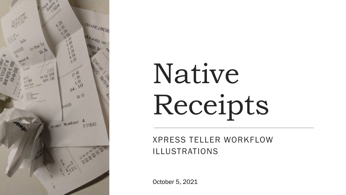

# Native Receipts

XPRESS TELLER WORKFLOW ILLUSTRATIONS

October 5, 2021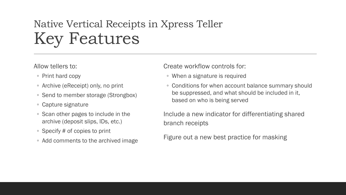# Native Vertical Receipts in Xpress Teller Key Features

Allow tellers to:

- Print hard copy
- Archive (eReceipt) only, no print
- Send to member storage (Strongbox)
- Capture signature
- Scan other pages to include in the archive (deposit slips, IDs, etc.)
- Specify # of copies to print
- Add comments to the archived image

Create workflow controls for:

- When a signature is required
- Conditions for when account balance summary should be suppressed, and what should be included in it, based on who is being served

Include a new indicator for differentiating shared branch receipts

Figure out a new best practice for masking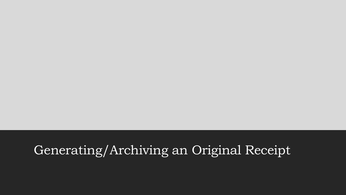## Generating/Archiving an Original Receipt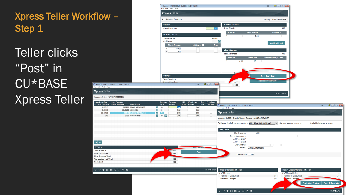$|\!\!\sim\!\!|\!\!\sim$ 

**TOTALS** 

Teller clicks "Post" in CU\*BASE Xpress Teller

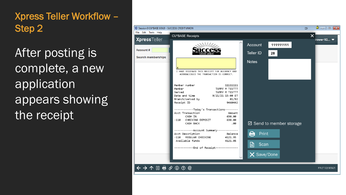After posting is complete, a new application appears showing the receipt

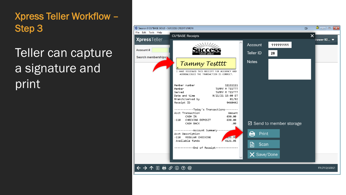# Teller can capture a signature and print

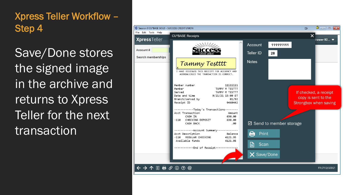Save/Done stores the signed image in the archive and returns to Xpress Teller for the next transaction

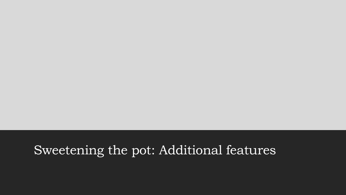## Sweetening the pot: Additional features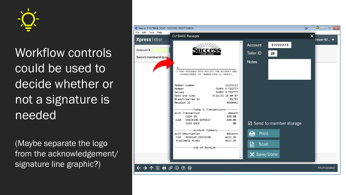

Workflow controls could be used to decide whether or not a signature is needed

(Maybe separate the logo from the acknowledgement/ signature line graphic?)

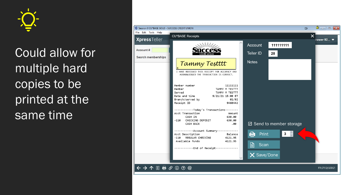

Could allow for multiple hard copies to be printed at the same time

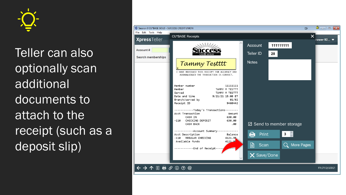

Teller can also optionally scan additional documents to attach to the receipt (such as a deposit slip)

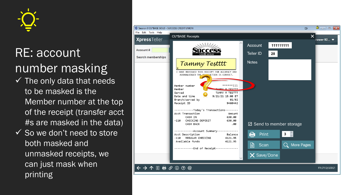

## RE: account number masking

- $\checkmark$  The only data that needs to be masked is the Member number at the top of the receipt (transfer acct #s are masked in the data)
- $\checkmark$  So we don't need to store both masked and unmasked receipts, we can just mask when printing

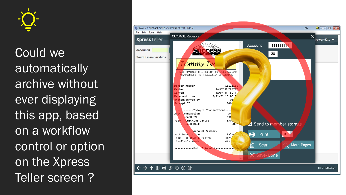

Could we automatically archive without ever displaying this app, based on a workflow control or option on the Xpress Teller screen ?

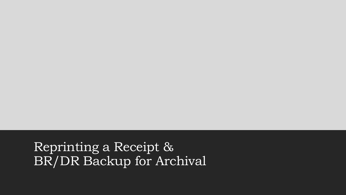Reprinting a Receipt & BR/DR Backup for Archival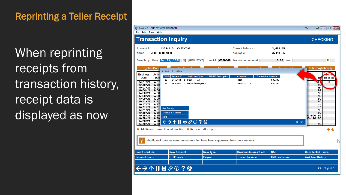When reprinting receipts from transaction history, receipt data is displayed as now

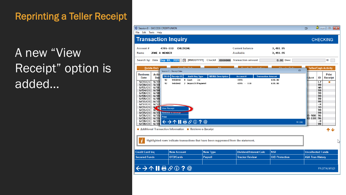A new "View Receipt" option is added...

| Session 0 - SUCCESS CREDIT UNION<br>File Edit Tools Help                                                                                                                                                                                                                                                                                                                            |                                                                                                                                                                                             |                          |                                            |                                                                    | 巨                                                                                                                                                           | $\mathbf{a}$ , $\mathbf{a}$ , $\mathbf{a}$ ,<br>$\mathbf{x}$ |  |  |
|-------------------------------------------------------------------------------------------------------------------------------------------------------------------------------------------------------------------------------------------------------------------------------------------------------------------------------------------------------------------------------------|---------------------------------------------------------------------------------------------------------------------------------------------------------------------------------------------|--------------------------|--------------------------------------------|--------------------------------------------------------------------|-------------------------------------------------------------------------------------------------------------------------------------------------------------|--------------------------------------------------------------|--|--|
| <b>Transaction Inquiry</b>                                                                                                                                                                                                                                                                                                                                                          |                                                                                                                                                                                             | <b>CHECKING</b>          |                                            |                                                                    |                                                                                                                                                             |                                                              |  |  |
| <b>Account #</b><br>4355-110<br><b>Name</b><br>JANE A MEMBER                                                                                                                                                                                                                                                                                                                        | <b>CHECKING</b>                                                                                                                                                                             |                          | <b>Current balance</b><br><b>Available</b> | 3,491.95<br>3,491.95                                               |                                                                                                                                                             |                                                              |  |  |
|                                                                                                                                                                                                                                                                                                                                                                                     | Search by: Date Sep 03, 2021 [6] [MMDDYYYY] Check#                                                                                                                                          |                          | 0000000 Transaction amount                 | 0.00 Desc                                                          |                                                                                                                                                             | ID                                                           |  |  |
| <b>Debits Only</b><br><b>Business</b><br>Activ<br>Date<br><b>Date</b><br>92<br>5/27<br>5/27/21<br>92<br>5/28/21<br>5/28<br>6/01/21<br>6/01<br>6/04/21<br>6/04<br>6/08/21<br>6/08<br>6/08/21<br>6/08<br>6/09/21<br>6/09<br>6/11/21<br>6/11<br>6/17/21<br>6/17<br>6/21/21<br>K<br>6/21/21<br>679<br>6/25<br>6/25/21<br>6/26/21<br>6/26<br>Print<br>6/26/21<br>6/26<br>6/28/21<br>6/28 | $C$ ro dito Onli<br>Session 0 - Receipt Data<br>TIR ID Receipt ID<br><b>Audit Key Type</b><br>9460442<br>9 Cash<br>In<br>2 Deposit/Payment<br>9460442<br>View Receipt<br>Retrieve e-Receipt | <b>MR/MA Description</b> | <b>Account#</b><br>4355<br>$4355 - 110$    | Chaelis Only<br>G<br><b>Transaction Amount</b><br>630.00<br>630.00 | <b>Teller/Cash Activity</b><br>ID<br>Acct<br>LZ<br>99<br>MA<br>99<br>99<br>99<br>99<br>99<br>-X<br>)D<br>99<br>99<br>15-900<br>96<br>96<br>$10 - 110$<br>-х | Print<br><b>Receipt</b><br>ш                                 |  |  |
| FR (396)<br>99<br>6/28/21<br>6/28<br>■ Additional Transaction Information ■ Retrieve e-Receipt                                                                                                                                                                                                                                                                                      |                                                                                                                                                                                             |                          |                                            |                                                                    |                                                                                                                                                             |                                                              |  |  |
| Highlighted rows indicate transactions that have been suppressed from the statement.                                                                                                                                                                                                                                                                                                |                                                                                                                                                                                             |                          |                                            |                                                                    |                                                                                                                                                             |                                                              |  |  |
| <b>Credit Card Inq</b>                                                                                                                                                                                                                                                                                                                                                              | <b>New Account</b>                                                                                                                                                                          | <b>New Type</b>          | <b>Dividend/Interest Calc</b>              | <b>NSF</b>                                                         | <b>Uncollected Funds</b>                                                                                                                                    |                                                              |  |  |
| <b>Secured Funds</b>                                                                                                                                                                                                                                                                                                                                                                | <b>OTB/Cards</b>                                                                                                                                                                            | <b>Payroll</b>           | <b>Tracker Review</b>                      | <b>O/D</b> Protection                                              | <b>A2A Tran History</b>                                                                                                                                     |                                                              |  |  |
| ←→↑Ⅱা☆⊙?◎<br>FR (3774) 9/15/21                                                                                                                                                                                                                                                                                                                                                      |                                                                                                                                                                                             |                          |                                            |                                                                    |                                                                                                                                                             |                                                              |  |  |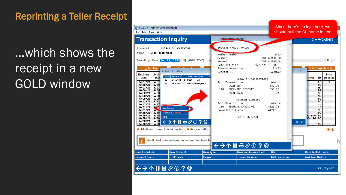# ...which shows the receipt in a new GOLD window

| Session 0 - SUCCESS CREDIT UNION<br>File Edit Tools Help                                                                                                                                                                                                                                                                                                                                                                                                                                                                                                                                                                                                                                                                                                                                                                                                                                    |                                                  |                                                                                                                                                                                                                                                                                                                                                                                                                                  |                       | Since there's no logo here, we<br>should pull the CU name in, too                                                                                                                                                                       |  |  |  |
|---------------------------------------------------------------------------------------------------------------------------------------------------------------------------------------------------------------------------------------------------------------------------------------------------------------------------------------------------------------------------------------------------------------------------------------------------------------------------------------------------------------------------------------------------------------------------------------------------------------------------------------------------------------------------------------------------------------------------------------------------------------------------------------------------------------------------------------------------------------------------------------------|--------------------------------------------------|----------------------------------------------------------------------------------------------------------------------------------------------------------------------------------------------------------------------------------------------------------------------------------------------------------------------------------------------------------------------------------------------------------------------------------|-----------------------|-----------------------------------------------------------------------------------------------------------------------------------------------------------------------------------------------------------------------------------------|--|--|--|
| <b>Transaction Inquiry</b>                                                                                                                                                                                                                                                                                                                                                                                                                                                                                                                                                                                                                                                                                                                                                                                                                                                                  | <b>Transaction Receipt</b>                       |                                                                                                                                                                                                                                                                                                                                                                                                                                  |                       | <b>CHECKING</b>                                                                                                                                                                                                                         |  |  |  |
| Account#<br>4355-110<br><b>CHECKING</b><br>JANE A MEMBER<br><b>Name</b><br>Search by: Date Sep 03, 2021 [ [ MMDDYYYY] Che<br>Cradita Only<br><b>Debits Only</b><br>Session 0 - Receipt Data<br><b>Activ</b><br><b>Business</b><br>TIR ID Receipt ID<br><b>Audit Key Type</b><br>Date<br>Date<br>92<br>9460442 9 Cash<br>In<br>5/27/21<br>5/27<br>92<br>9460442 2 Deposit/Payment<br>5/28/21<br>5/28<br>6/01/21<br>6/01<br>6/04/21<br>6/04<br>6/08/21<br>6/08<br>6/08/21<br>6/08<br>6/09/21<br>6/09<br>6/11/21<br>6/11<br>6/17/21<br>6/17<br>6/21/21<br>$\sim$ $\sim$ $\sim$<br><b>View Receipt</b><br>6/21/21<br>672<br>Retrieve e-Receipt<br>6/25<br>6/25/21<br>6/26/21<br>6/26<br>Print<br>6/26/21<br>6/26<br>$\leftrightarrow$ $\land$ $\parallel$ $\oplus$ $\otimes$ $\oplus$ ? $\circ$<br>6/28/21<br>6/28<br>6/28<br>6/28/21<br>■ Additional Transaction Information ■ Retrieve e-Rece | Member<br>Served<br>Receipt ID<br>-110<br>$-110$ | SUCCESS CREDIT UNION<br>Member number<br>JANE A MEMBER<br>JANE A MEMBER<br>Date and time<br>9/21/21 15:00 ET<br>Branch/served by<br>-----------Today's Transactions--------<br>Acct Transaction<br>CASH IN<br>CHECKING DEPOSIT<br>CASH BACK<br>------------Account Summary-------------<br>Acct Description<br>Balance<br>REGULAR CHECKING<br>4121.95<br>Available funds<br>4121.95<br>------------ End of Receipt-------------- |                       | ID<br><b>Teller/Cash Activity</b><br>G<br>Print<br>ID<br><b>Acct</b><br>Receipt<br>$\overline{\mathsf{LZ}}$<br>99<br>MA<br>99<br>99<br>99<br>99<br>99<br>-X<br>)D<br>99<br>99<br>5-900<br>96<br>$0 - 110$<br>96<br>-х<br>FR (396)<br>99 |  |  |  |
| Highlighted rows indicate transactions that have be                                                                                                                                                                                                                                                                                                                                                                                                                                                                                                                                                                                                                                                                                                                                                                                                                                         |                                                  | ऻ←→↑Ⅱ₱ℰ◑?@                                                                                                                                                                                                                                                                                                                                                                                                                       |                       |                                                                                                                                                                                                                                         |  |  |  |
| <b>New Account</b><br><b>Credit Card Ing</b>                                                                                                                                                                                                                                                                                                                                                                                                                                                                                                                                                                                                                                                                                                                                                                                                                                                | <b>New Type</b>                                  | <b>Dividend/Interest Calc</b>                                                                                                                                                                                                                                                                                                                                                                                                    | <b>NSF</b>            | <b>Uncollected Funds</b>                                                                                                                                                                                                                |  |  |  |
| <b>Secured Funds</b><br>OTB/Cards                                                                                                                                                                                                                                                                                                                                                                                                                                                                                                                                                                                                                                                                                                                                                                                                                                                           | <b>Payroll</b>                                   | <b>Tracker Review</b>                                                                                                                                                                                                                                                                                                                                                                                                            | <b>O/D</b> Protection | <b>A2A Tran History</b>                                                                                                                                                                                                                 |  |  |  |
| $\leftrightarrow$ $\rightarrow$ $\land$ $\parallel$ $\oplus$ $\oslash$ $\odot$ ? $\circ$<br>FR (3774) 9/15/21                                                                                                                                                                                                                                                                                                                                                                                                                                                                                                                                                                                                                                                                                                                                                                               |                                                  |                                                                                                                                                                                                                                                                                                                                                                                                                                  |                       |                                                                                                                                                                                                                                         |  |  |  |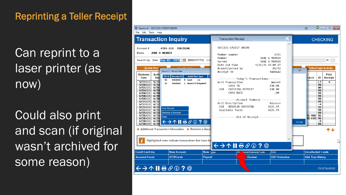Can reprint to a laser printer (as now)

Could also print and scan (if original wasn't archived for some reason)

| Session 0 - SUCCESS CREDIT UNION<br>File Edit Tools Help                                                                                                                                                                                                                                                                                                                                                                                                                                                                                                                                                                                                                                                                                                                                                                                                                                                                                       |                                                                                                                                                                                                                                                                                                                                                                                                                                                                                                                                                                                                                                          | $\theta$ $\theta$ $\theta$ $\mathbf{x}$<br>$\Box$                                                                                                                                                                        |
|------------------------------------------------------------------------------------------------------------------------------------------------------------------------------------------------------------------------------------------------------------------------------------------------------------------------------------------------------------------------------------------------------------------------------------------------------------------------------------------------------------------------------------------------------------------------------------------------------------------------------------------------------------------------------------------------------------------------------------------------------------------------------------------------------------------------------------------------------------------------------------------------------------------------------------------------|------------------------------------------------------------------------------------------------------------------------------------------------------------------------------------------------------------------------------------------------------------------------------------------------------------------------------------------------------------------------------------------------------------------------------------------------------------------------------------------------------------------------------------------------------------------------------------------------------------------------------------------|--------------------------------------------------------------------------------------------------------------------------------------------------------------------------------------------------------------------------|
| <b>Transaction Inquiry</b>                                                                                                                                                                                                                                                                                                                                                                                                                                                                                                                                                                                                                                                                                                                                                                                                                                                                                                                     | <b>Transaction Receipt</b>                                                                                                                                                                                                                                                                                                                                                                                                                                                                                                                                                                                                               | X<br><b>CHECKING</b>                                                                                                                                                                                                     |
| Account #<br>4355-110<br>CHECKING<br>JANE A MEMBER<br>Name<br>Search by: Date Sep 03, 2021 [11] [MMDDYYYY] Che<br>Cradita Only<br><b>Debits Only</b><br>Session 0 - Receipt Data<br><b>Business</b><br><b>Activ</b><br>TIR ID Receipt ID<br><b>Audit Key Type</b><br>Date<br><b>Date</b><br>9 Cash<br>9460442<br>In<br>92<br>5/27/21<br>5/27<br>92<br>9460442 2 Deposit/Payment<br>5/28/21<br>5/28<br>6/01/21<br>6/01<br>6/04/21<br>6/04<br>6/08/21<br>6/08<br>6/08/21<br>6/08<br>6/09/21<br>6/09<br>6/11/21<br>6/11<br>6/17/21<br>6/17<br>6/21/21<br>6/21<br><b>View Receipt</b><br>6/21/21<br>6/21<br><b>Retrieve e-Receipt</b><br>6/25/21<br>6/25<br>6/26/21<br>6/26<br>Print<br>6/26/21<br>6/26<br>$\frac{6/28}{5/28}$ $\leftrightarrow$ $\land$ II $\oplus$ $\oslash$ $\odot$ ? $\odot$<br>6/28/21<br>6/28<br>6/28/21<br>Additional Transaction Information <b>Retrieve e-Rece</b><br>Highlighted rows indicate transactions that have be | SUCCESS CREDIT UNION<br>Member number<br>4355<br>JANE A MEMBER<br>Member<br>Served<br>JANE A MEMBER<br>Date and time<br>9/21/21 15:00 ET<br>Branch/served by<br>01/92<br>9460442<br>Receipt ID<br>-----------Today's Transactions--------<br>Acct Transaction<br>Amount<br>CASH TN<br>630.00<br>CHECKING DEPOSIT<br>630.00<br>$-110$<br>CASH BACK<br>.00<br>------------Account Summary-------------<br>Acct Description<br>Balance<br>REGULAR CHECKING<br>4121.95<br>-110<br>Available funds<br>4121.95<br>------------End of Receipt--------------<br>$\leftarrow$ $\rightarrow$ $\uparrow$ $\parallel$ $\oplus$ $\oslash$ 0 ? $\circ$ | ID<br><b>Teller/Cash Activity</b><br>G<br>Print<br>ID<br><b>Acct</b><br>Receipt<br>LZ<br>m.<br>99<br>MA<br>99<br>99<br>99<br>99<br>99<br>-X<br>)D<br>99<br>99<br>$5 - 900$<br>96<br>10-110<br>96<br>-x<br>FR (396)<br>99 |
| <b>Credit Card Ing</b><br><b>New Account</b>                                                                                                                                                                                                                                                                                                                                                                                                                                                                                                                                                                                                                                                                                                                                                                                                                                                                                                   | <b>New Type</b><br><b>NSF</b><br><b>Nend/Interest Calc</b><br>Div                                                                                                                                                                                                                                                                                                                                                                                                                                                                                                                                                                        | <b>Uncollected Funds</b>                                                                                                                                                                                                 |
| <b>Secured Funds</b><br>OTB/Cards                                                                                                                                                                                                                                                                                                                                                                                                                                                                                                                                                                                                                                                                                                                                                                                                                                                                                                              | <b>Payroll</b><br>Review<br><b>O/D</b> Protection                                                                                                                                                                                                                                                                                                                                                                                                                                                                                                                                                                                        | <b>A2A Tran History</b>                                                                                                                                                                                                  |
| $\leftrightarrow$ $\rightarrow$ $\land$ $\parallel$ $\oplus$ $\oslash$ $\odot$ $\gtrsim$ $\circ$                                                                                                                                                                                                                                                                                                                                                                                                                                                                                                                                                                                                                                                                                                                                                                                                                                               |                                                                                                                                                                                                                                                                                                                                                                                                                                                                                                                                                                                                                                          | FR (3774) 9/15/21                                                                                                                                                                                                        |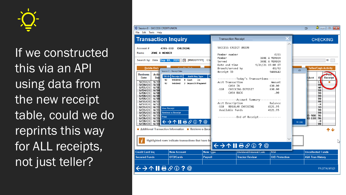

If we constructed this via an API using data from the new receipt table, could we do reprints this way for ALL receipts, not just teller?